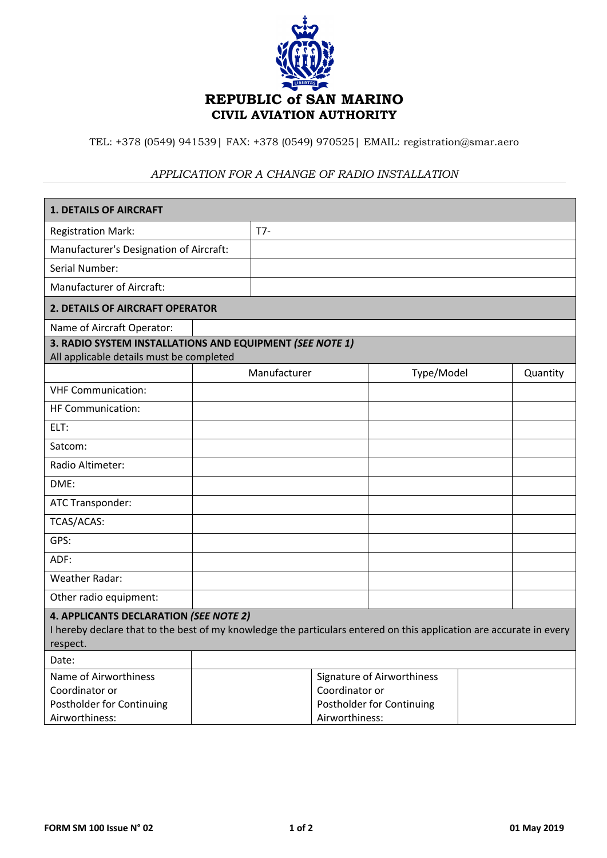

TEL: +378 (0549) 941539| FAX: +378 (0549) 970525| EMAIL: registration@smar.aero

## *APPLICATION FOR A CHANGE OF RADIO INSTALLATION*

| <b>1. DETAILS OF AIRCRAFT</b>                                                                                                                                             |  |                                                                                             |            |  |          |
|---------------------------------------------------------------------------------------------------------------------------------------------------------------------------|--|---------------------------------------------------------------------------------------------|------------|--|----------|
| <b>Registration Mark:</b>                                                                                                                                                 |  | $T7-$                                                                                       |            |  |          |
| Manufacturer's Designation of Aircraft:                                                                                                                                   |  |                                                                                             |            |  |          |
| Serial Number:                                                                                                                                                            |  |                                                                                             |            |  |          |
| <b>Manufacturer of Aircraft:</b>                                                                                                                                          |  |                                                                                             |            |  |          |
| 2. DETAILS OF AIRCRAFT OPERATOR                                                                                                                                           |  |                                                                                             |            |  |          |
| Name of Aircraft Operator:                                                                                                                                                |  |                                                                                             |            |  |          |
| 3. RADIO SYSTEM INSTALLATIONS AND EQUIPMENT (SEE NOTE 1)<br>All applicable details must be completed                                                                      |  |                                                                                             |            |  |          |
|                                                                                                                                                                           |  | Manufacturer                                                                                | Type/Model |  | Quantity |
| <b>VHF Communication:</b>                                                                                                                                                 |  |                                                                                             |            |  |          |
| HF Communication:                                                                                                                                                         |  |                                                                                             |            |  |          |
| ELT:                                                                                                                                                                      |  |                                                                                             |            |  |          |
| Satcom:                                                                                                                                                                   |  |                                                                                             |            |  |          |
| Radio Altimeter:                                                                                                                                                          |  |                                                                                             |            |  |          |
| DME:                                                                                                                                                                      |  |                                                                                             |            |  |          |
| ATC Transponder:                                                                                                                                                          |  |                                                                                             |            |  |          |
| TCAS/ACAS:                                                                                                                                                                |  |                                                                                             |            |  |          |
| GPS:                                                                                                                                                                      |  |                                                                                             |            |  |          |
| ADF:                                                                                                                                                                      |  |                                                                                             |            |  |          |
| <b>Weather Radar:</b>                                                                                                                                                     |  |                                                                                             |            |  |          |
| Other radio equipment:                                                                                                                                                    |  |                                                                                             |            |  |          |
| 4. APPLICANTS DECLARATION (SEE NOTE 2)<br>I hereby declare that to the best of my knowledge the particulars entered on this application are accurate in every<br>respect. |  |                                                                                             |            |  |          |
| Date:                                                                                                                                                                     |  |                                                                                             |            |  |          |
| Name of Airworthiness<br>Coordinator or<br>Postholder for Continuing<br>Airworthiness:                                                                                    |  | Signature of Airworthiness<br>Coordinator or<br>Postholder for Continuing<br>Airworthiness: |            |  |          |